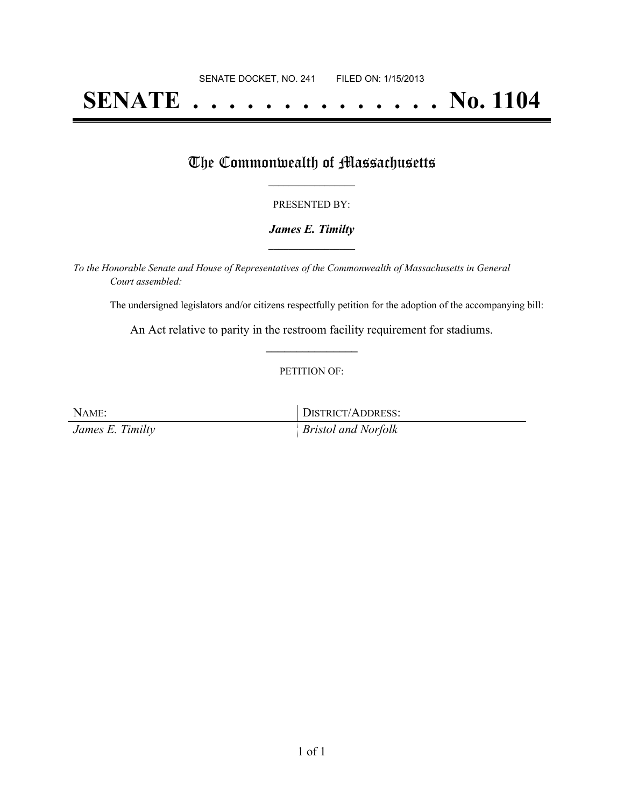# **SENATE . . . . . . . . . . . . . . No. 1104**

### The Commonwealth of Massachusetts

#### PRESENTED BY:

#### *James E. Timilty* **\_\_\_\_\_\_\_\_\_\_\_\_\_\_\_\_\_**

*To the Honorable Senate and House of Representatives of the Commonwealth of Massachusetts in General Court assembled:*

The undersigned legislators and/or citizens respectfully petition for the adoption of the accompanying bill:

An Act relative to parity in the restroom facility requirement for stadiums. **\_\_\_\_\_\_\_\_\_\_\_\_\_\_\_**

#### PETITION OF:

NAME: DISTRICT/ADDRESS:

*James E. Timilty Bristol and Norfolk*